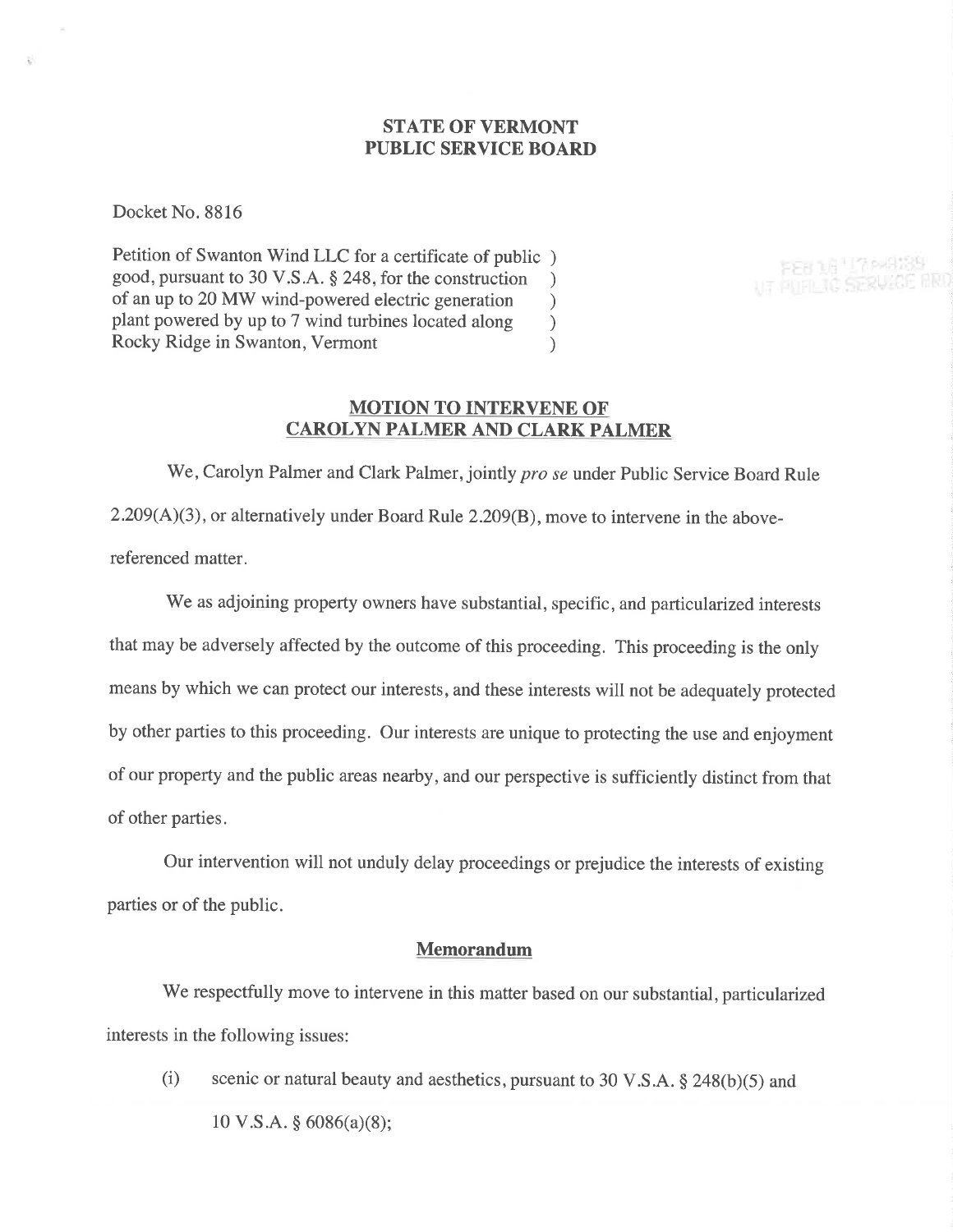## STATE OF VERMONT PUBLIC SERVICE BOARD

Docket No. 8816

Petition of Swanton Wind LLC for a certificate of public ) good, pursuant to 30 V.S.A. \$ 248, for the construction ) of an up to 20 MW wind-powered electric generation<br>plant powered by up to 7 wind turbines located along  $)$ plant powered by up to 7 wind turbines located along <br>Rocky Ridge in Swanton, Vermont (1) Rocky Ridge in Swanton, Vermont

FEB 16 17 PARTSS UT PUFILIC SERVICE

### MOTION TO INTERVENE OF CAROLYN PALMER AND CLARK PALMER

We, Carolyn Palmer and Clark Palmer, jointly *pro se* under Public Service Board Rule 2.209(A)(3), or alternatively under Board Rule 2.209(8), move to intervene in the abovereferenced matter.

We as adjoining property owners have substantial, specific, and particularized interests that may be adversely affected by the outcome of this proceeding. This proceeding is the only means by which we can protect our interests, and these interests will not be adequately protected by other parties to this proceeding. Our interests are unique to protecting the use and enjoyment of our property and the public areas nearby, and our perspective is sufficiently distinct from that of other parties.

Our intervention will not unduly delay proceedings or prejudice the interests of existing parties or of the public.

#### Memorandum

We respectfully move to intervene in this matter based on our substantial, particularized interests in the following issues:

(i) scenic or natural beauty and aesthetics, pursuant to 30 V.S.A.  $\S$  248(b)(5) and  $10 \text{ V.S.A.}$  § 6086(a)(8);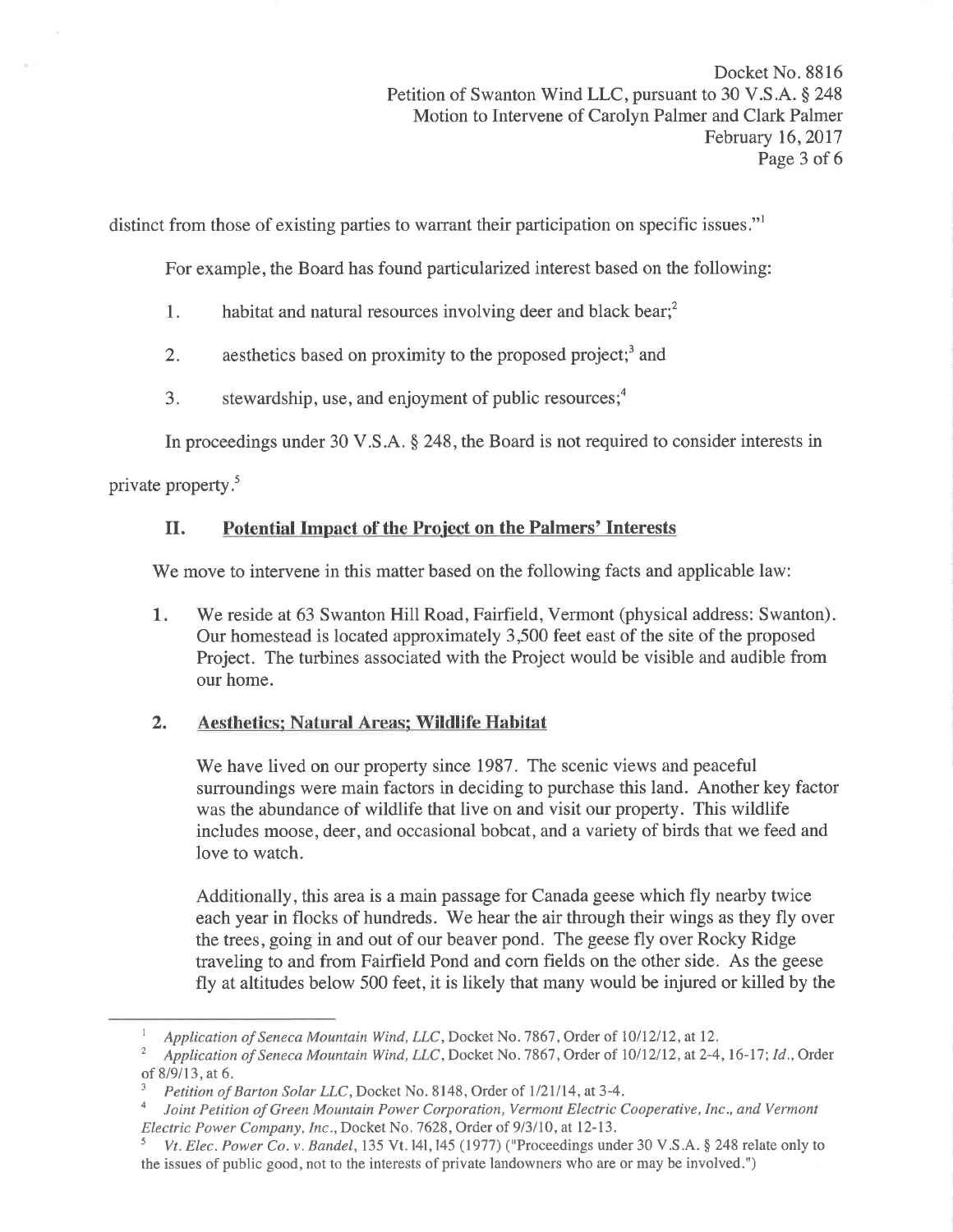distinct from those of existing parties to warrant their participation on specific issues."

For example, the Board has found particularized interest based on the following:

- 1. habitat and natural resources involving deer and black bear; $<sup>2</sup>$ </sup>
- 2. aesthetics based on proximity to the proposed project;<sup>3</sup> and
- 3. stewardship, use, and enjoyment of public resources; $<sup>4</sup>$ </sup>

In proceedings under 30 V.S.A. \$ 248, the Board is not required to consider interests in

private property.<sup>5</sup>

# II. Potential Impact of the Project on the Palmers' Interests

We move to intervene in this matter based on the following facts and applicable law:

We reside at 63 Swanton Hill Road, Fairfield, Vermont (physical address: Swanton). Our homestead is located approximately 3,500 feet east of the site of the proposed Project. The turbines associated with the Project would be visible and audible from our home. 1

# 2. Aesthetics: Natural Areas; Wildlife Habitat

We have lived on our property since 1987. The scenic views and peaceful surroundings were main factors in deciding to purchase this land. Another key factor was the abundance of wildlife that live on and visit our property. This wildlife includes moose, deer, and occasional bobcat, and a variety of birds that we feed and love to watch.

Additionally, this area is a main passage for Canada geese which fly nearby twice each year in flocks of hundreds. We hear the air through their wings as they fly over the trees, going in and out of our beaver pond. The geese fly over Rocky Ridge traveling to and from Fairfield Pond and corn fields on the other side. As the geese fly at altitudes below 500 feet, it is likely that many would be injured or killed by the

Application of Seneca Mountain Wind, LLC, Docket No. 7867, Order of 10/12/12, at 12.

<sup>&</sup>lt;sup>2</sup> Application of Seneca Mountain Wind, LLC, Docket No. 7867, Order of 10/12/12, at 2-4, 16-17; Id., Order of 8/9/13, at 6.

Petition of Barton Solar LLC, Docket No. 8148, Order of 1/21/14, at 3-4.

Joint Petition of Green Mountain Power Corporation, Vermont Electric Cooperative, Inc., and Vermont Electric Power Company, Inc., Docket No. 7628, Order of 9/3/10, at 12-13.<br><sup>5</sup> Vt. Elec. Power Co. v. Bandel, 135 Vt. 141, 145 (1977) ("Proceedings under 30 V.S.A. § 248 relate only to

the issues of public good, not to the interests of private landowners who are or may be involved.")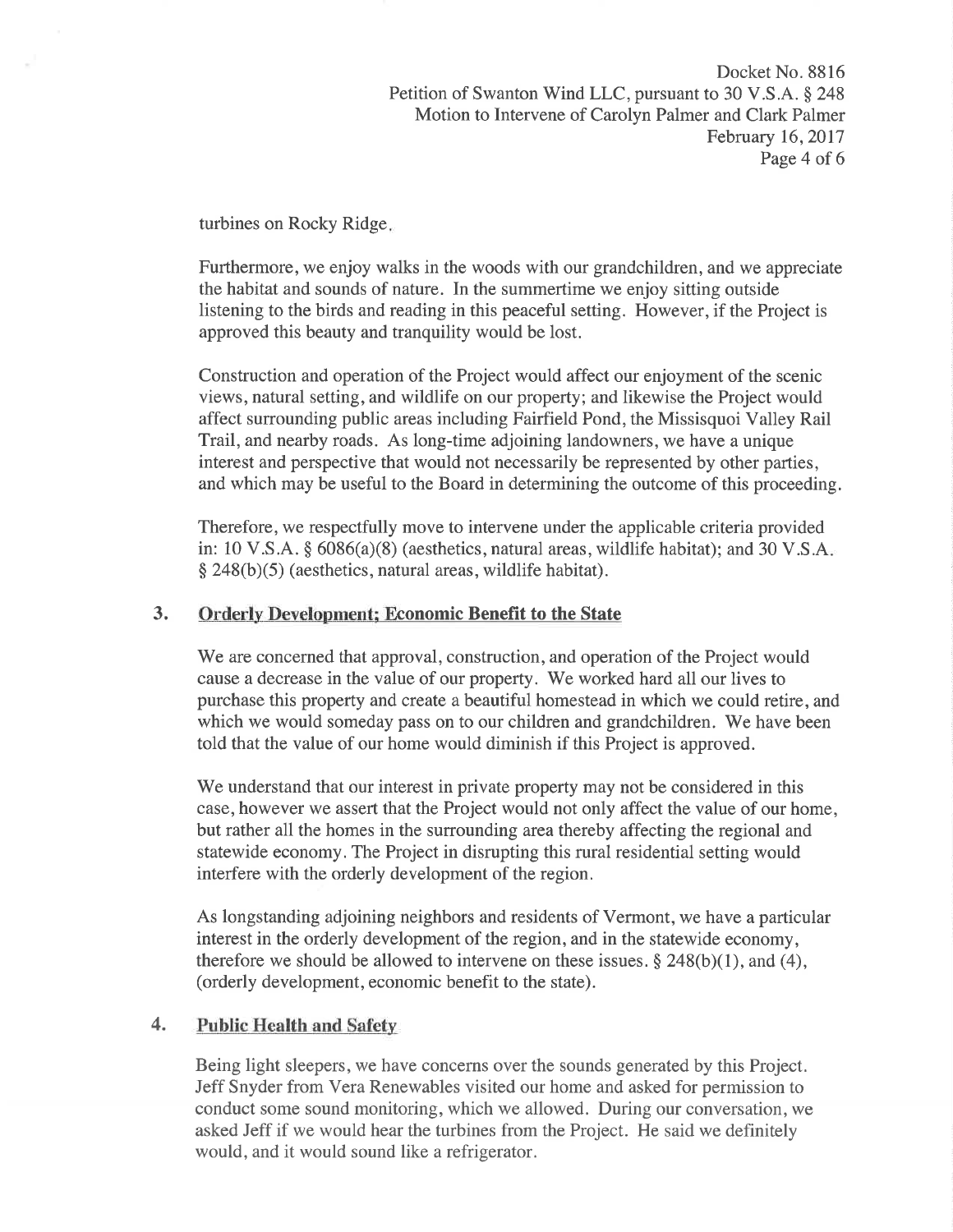turbines on Rocky Ridge

Furthermore, we enjoy walks in the woods with our grandchildren, and we appreciate the habitat and sounds of nature. In the summertime we enjoy sitting outside listening to the birds and reading in this peaceful setting. However, if the Project is approved this beauty and tranquility would be lost.

Construction and operation of the Project would affect our enjoyment of the scenic views, natural setting, and wildlife on our property; and likewise the Project would affect surrounding public areas including Fairfield Pond, the Missisquoi Valley Rail Trail, and nearby roads. As long-time adjoining landowners, we have a unique interest and perspective that would not necessarily be represented by other parties, and which may be useful to the Board in determining the outcome of this proceeding.

Therefore, we respectfully move to intervene under the applicable criteria provided in: 10 V.S.A.  $\S$  6086(a)(8) (aesthetics, natural areas, wildlife habitat); and 30 V.S.A.  $\S$  248(b)(5) (aesthetics, natural areas, wildlife habitat).

# 3. Orderly Development; Economic Benefit to the State

We are concerned that approval, construction, and operation of the Project would cause a decrease in the value of our property. We worked hard all our lives to purchase this property and create a beautiful homestead in which we could retire, and which we would someday pass on to our children and grandchildren. We have been told that the value of our home would diminish if this Project is approved.

'We understand that our interest in private property may not be considered in this case, however we assert that the Project would not only affect the value of our home, but rather all the homes in the surrounding area thereby affecting the regional and statewide economy. The Project in disrupting this rural residential setting would interfere with the orderly development of the region.

As longstanding adjoining neighbors and residents of Vermont, we have a particular interest in the orderly development of the region, and in the statewide economy, therefore we should be allowed to intervene on these issues.  $\S 248(b)(1)$ , and (4), (orderly development, economic benefit to the state).

# 4. Public Health and Safety

Being light sleepers, we have concerns over the sounds generated by this Project. Jeff Snyder from Vera Renewables visited our home and asked for permission to conduct some sound monitoring, which we allowed. During our conversation, we asked Jeff if we would hear the turbines from the Project. He said we definitely would, and it would sound like a refrigerator.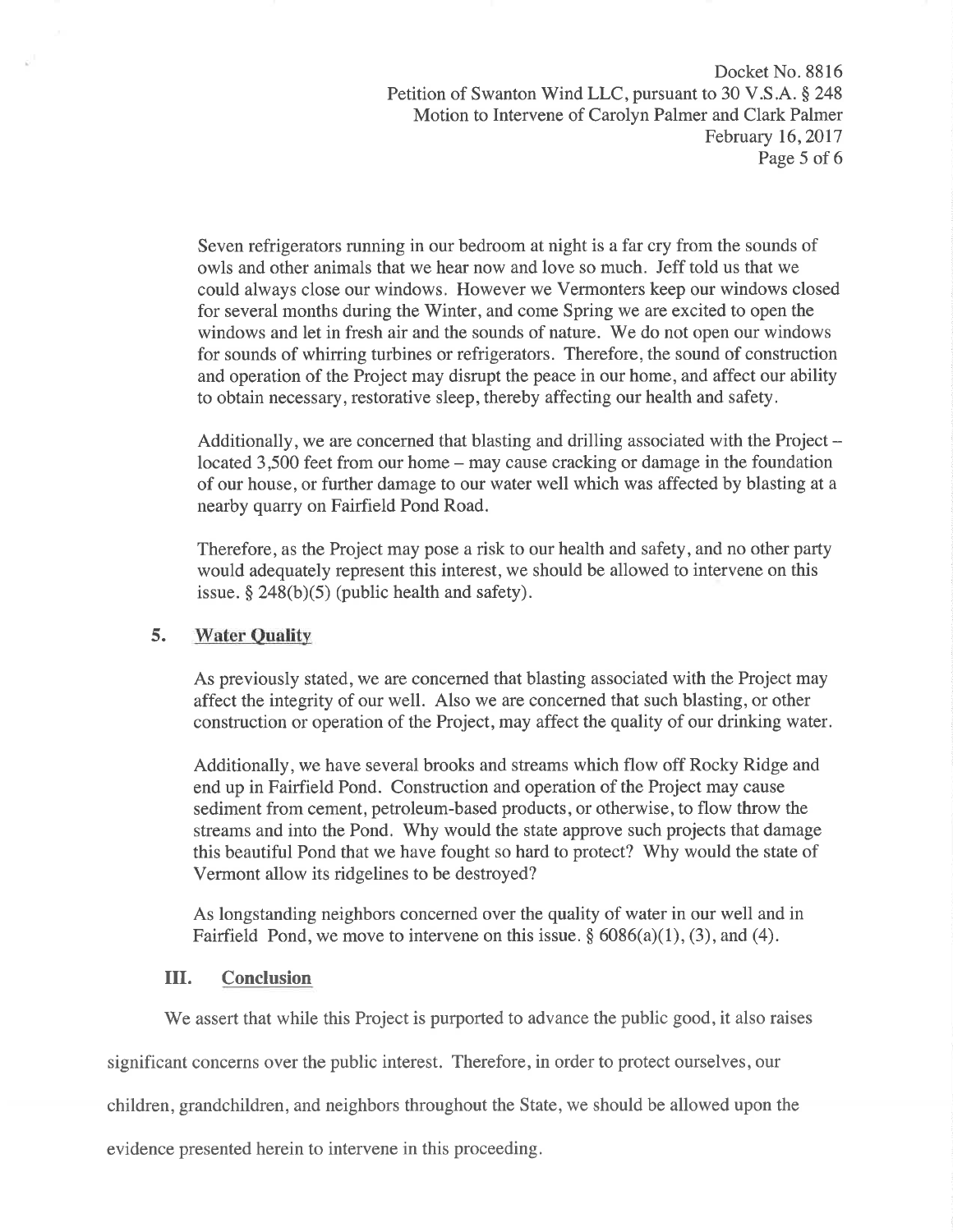Docket No. 8816 Petition of Swanton Wind LLC, pursuant to 30 V.S.A. \$ 248 Motion to Intervene of Carolyn Palmer and Clark Palmer February 16, 2017 Page 5 of 6

Seven refrigerators running in our bedroom at night is a far cry from the sounds of owls and other animals that we hear now and love so much. Jeff told us that we could always close our windows. However we Vermonters keep our windows closed for several months during the Winter, and come Spring we are excited to open the windows and let in fresh air and the sounds of nature. We do not open our windows for sounds of whirring turbines or refrigerators. Therefore, the sound of construction and operation of the Project may disrupt the peace in our home, and affect our ability to obtain necessary, restorative sleep, thereby affecting our health and safety.

Additionally, we are concerned that blasting and drilling associated with the Project located 3,500 feet from our home – may cause cracking or damage in the foundation of our house, or further damage to our water well which was affected by blasting at a nearby quarry on Fairfield Pond Road.

Therefore, as the Project may pose a risk to our health and safety, and no other party would adequately represent this interest, we should be allowed to intervene on this issue.  $§$  248(b)(5) (public health and safety).

## 5. Water Ouality

As previously stated, we are concerned that blasting associated with the Project may affect the integrity of our well. Also we are concerned that such blasting, or other construction or operation of the Project, may affect the quality of our drinking water.

Additionally, we have several brooks and streams which flow off Rocky Ridge and end up in Fairfield Pond. Construction and operation of the Project may cause sediment from cement, petroleum-based products, or otherwise, to flow throw the streams and into the Pond. Why would the state approve such projects that damage this beautiful Pond that we have fought so hard to protect? Why would the state of Vermont allow its ridgelines to be destroyed?

As longstanding neighbors concerned over the quality of water in our well and in Fairfield Pond, we move to intervene on this issue.  $\S 6086(a)(1)$ , (3), and (4).

#### ilI. Conclusion

We assert that while this Project is purported to advance the public good, it also raises

significant concerns over the public interest. Therefore, in order to protect ourselves, our

children, grandchildren, and neighbors throughout the State, we should be allowed upon the

evidence presented herein to intervene in this proceeding.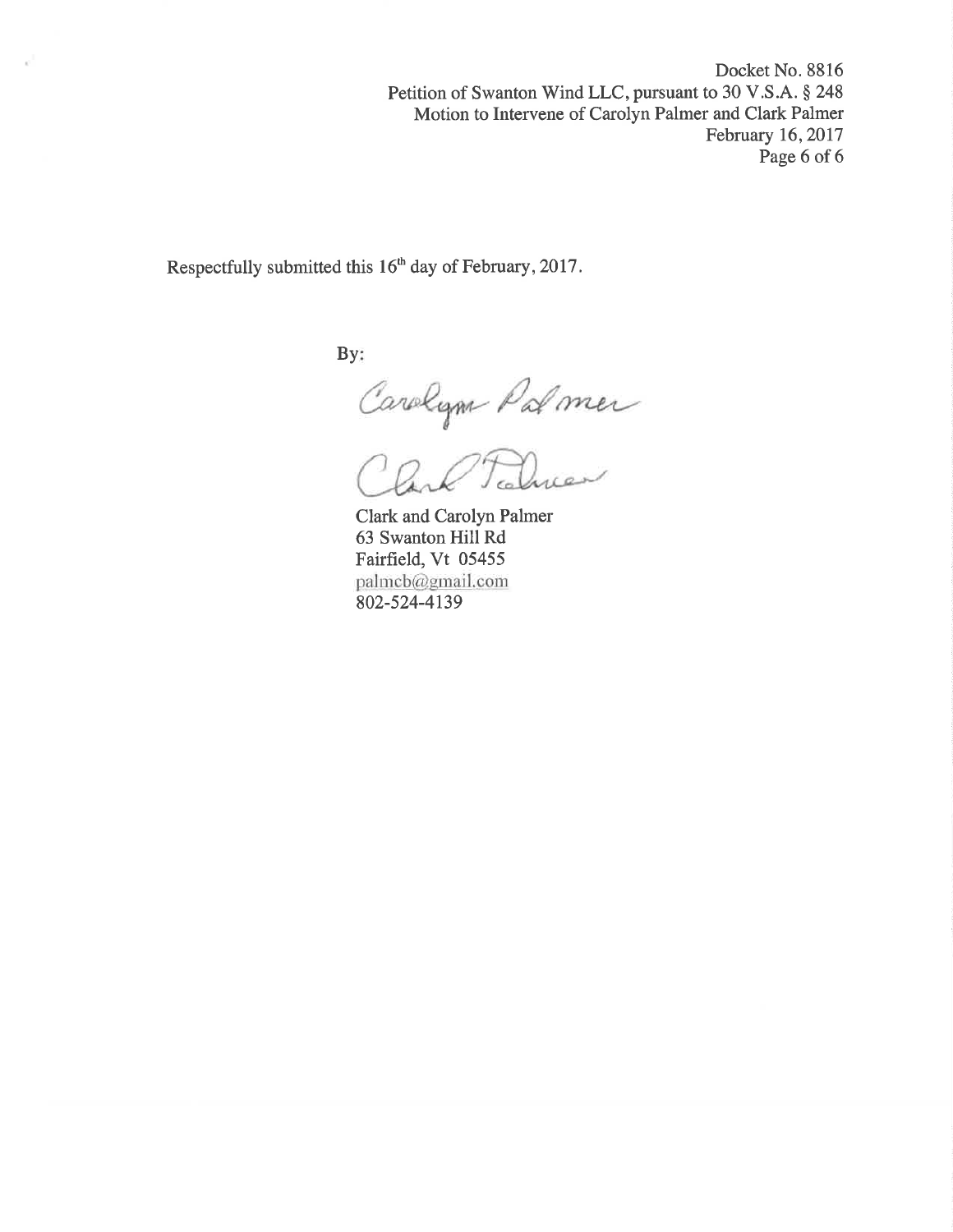Docket No. 8816 Petition of Swanton Wind LLC, pursuant to 30 V.S.A. § 248 Motion to Intervene of Carolyn Palmer and Clark Palmer February 16,2017 Page 6 of 6

Respectfully submitted this 16<sup>th</sup> day of February, 2017.

By:

Carolym Palmer

Clark and Carolyn Palmer 63 Swanton Hill Rd Fairfield, Vt <sup>05455</sup> palmcb@gmail.com 802-s24-4t39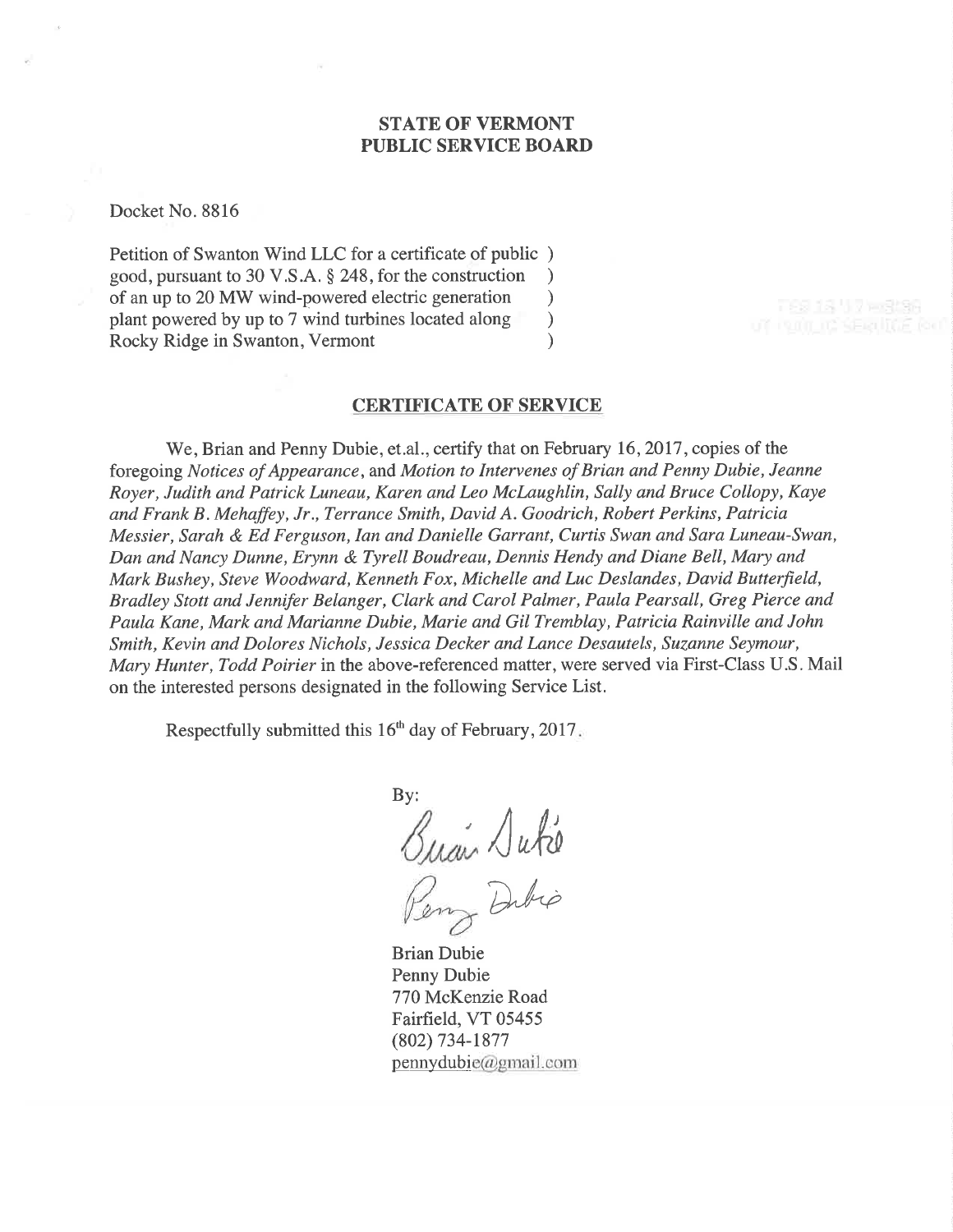### STATE OF VERMONT PUBLIC SERVICE BOARD

Docket No. 8816

Petition of Swanton Wind LLC for a certificate of public ) good, pursuant to 30 V.S.A. \$ 248, for the construction ) of an up to 20 MW wind-powered electric generation <br>plant powered by up to 7 wind turbines located along plant powered by up to 7 wind turbines located along (a) Rocky Ridge in Swanton, Vermont (b) Rocky Ridge in Swanton, Vermont )

# CERTIFICATE OF SERVICE

We, Brian and Penny Dubie, et.al., certify that on February 16, 2017, copies of the foregoing Notices of Appearance, and Motion to Intervenes of Brian and Penny Dubie, Jeanne Royer, Judith and Patrick Luneau, Karen and Leo McLaughlin, Sally and Bruce Collopy, Kaye and Frank B. Mehaffey, Jr., Terrance Smith, David A. Goodrich, Robert Perkins, Patricia Messier, Sarah & Ed Ferguson,Ian and Danielle Garrant, Curtis Swan and Sara Luneau-Swan, Dan ønd Nancy Dunne, Erynn & Tyrell Boudreau, Dennis Hendy and Diane Bell, Mary and Mark Bushey, Steve Woodward, Kenneth Fox, Michelle and Luc Deslandes, David Butterfield, Bradley Stott and Jennifer Belanger, Clark and Carol Palmer, Paula Pearsall, Greg Pierce and Paula Kane, Mark and Marianne Dubie, Marie and Gil Tremblay, Patricia Rainville and John Smith, Kevin and Dolores Nichols, Jessica Decker and Lance Desautels, Suzanne Seymour, Mary Hunter, Todd Poirier in the above-referenced matter, were served via First-Class U.S. Mail on the interested persons designated in the following Service List.

Respectfully submitted this  $16<sup>th</sup>$  day of February, 2017.

By:  $\sqrt{u}$ Dibio

Brian Dubie Penny Dubie 770 McKenzie Road Fairfield, VT 05455 (802) 734-1877  $p$ ennydubie@gmail.com